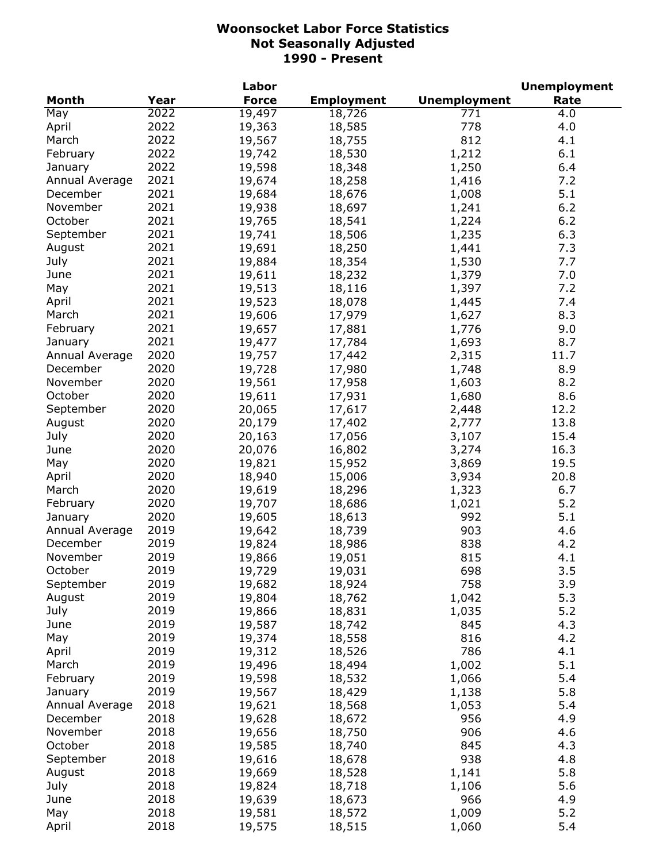|                |      | Labor        |                   |                     | <b>Unemployment</b> |
|----------------|------|--------------|-------------------|---------------------|---------------------|
| <b>Month</b>   | Year | <b>Force</b> | <b>Employment</b> | <b>Unemployment</b> | Rate                |
| May            | 2022 | 19,497       | 18,726            | 771                 | 4.0                 |
| April          | 2022 | 19,363       | 18,585            | 778                 | 4.0                 |
| March          | 2022 | 19,567       | 18,755            | 812                 | 4.1                 |
| February       | 2022 | 19,742       | 18,530            | 1,212               | 6.1                 |
| January        | 2022 | 19,598       | 18,348            | 1,250               | 6.4                 |
| Annual Average | 2021 | 19,674       | 18,258            | 1,416               | 7.2                 |
| December       | 2021 | 19,684       | 18,676            | 1,008               | 5.1                 |
| November       | 2021 | 19,938       | 18,697            | 1,241               | 6.2                 |
| October        | 2021 | 19,765       | 18,541            | 1,224               | $6.2$               |
| September      | 2021 | 19,741       | 18,506            | 1,235               | 6.3                 |
| August         | 2021 | 19,691       | 18,250            | 1,441               | 7.3                 |
| July           | 2021 | 19,884       | 18,354            | 1,530               | 7.7                 |
| June           | 2021 | 19,611       | 18,232            | 1,379               | 7.0                 |
| May            | 2021 | 19,513       | 18,116            | 1,397               | 7.2                 |
| April          | 2021 | 19,523       | 18,078            | 1,445               | 7.4                 |
| March          | 2021 | 19,606       | 17,979            | 1,627               | 8.3                 |
|                | 2021 |              |                   |                     |                     |
| February       |      | 19,657       | 17,881            | 1,776               | 9.0                 |
| January        | 2021 | 19,477       | 17,784            | 1,693               | 8.7                 |
| Annual Average | 2020 | 19,757       | 17,442            | 2,315               | 11.7                |
| December       | 2020 | 19,728       | 17,980            | 1,748               | 8.9                 |
| November       | 2020 | 19,561       | 17,958            | 1,603               | 8.2                 |
| October        | 2020 | 19,611       | 17,931            | 1,680               | 8.6                 |
| September      | 2020 | 20,065       | 17,617            | 2,448               | 12.2                |
| August         | 2020 | 20,179       | 17,402            | 2,777               | 13.8                |
| July           | 2020 | 20,163       | 17,056            | 3,107               | 15.4                |
| June           | 2020 | 20,076       | 16,802            | 3,274               | 16.3                |
| May            | 2020 | 19,821       | 15,952            | 3,869               | 19.5                |
| April          | 2020 | 18,940       | 15,006            | 3,934               | 20.8                |
| March          | 2020 | 19,619       | 18,296            | 1,323               | 6.7                 |
| February       | 2020 | 19,707       | 18,686            | 1,021               | 5.2                 |
| January        | 2020 | 19,605       | 18,613            | 992                 | 5.1                 |
| Annual Average | 2019 | 19,642       | 18,739            | 903                 | 4.6                 |
| December       | 2019 | 19,824       | 18,986            | 838                 | 4.2                 |
| November       | 2019 | 19,866       | 19,051            | 815                 | 4.1                 |
| October        | 2019 | 19,729       | 19,031            | 698                 | 3.5                 |
| September      | 2019 | 19,682       | 18,924            | 758                 | 3.9                 |
| August         | 2019 | 19,804       | 18,762            | 1,042               | 5.3                 |
| July           | 2019 | 19,866       | 18,831            | 1,035               | 5.2                 |
| June           | 2019 | 19,587       | 18,742            | 845                 | 4.3                 |
| May            | 2019 | 19,374       | 18,558            | 816                 | 4.2                 |
| April          | 2019 | 19,312       | 18,526            | 786                 | 4.1                 |
| March          | 2019 | 19,496       | 18,494            | 1,002               | 5.1                 |
| February       | 2019 | 19,598       | 18,532            | 1,066               | 5.4                 |
| January        | 2019 | 19,567       | 18,429            | 1,138               | 5.8                 |
| Annual Average | 2018 | 19,621       | 18,568            | 1,053               | 5.4                 |
| December       | 2018 | 19,628       | 18,672            | 956                 | 4.9                 |
| November       | 2018 | 19,656       | 18,750            | 906                 | 4.6                 |
| October        | 2018 | 19,585       | 18,740            | 845                 | 4.3                 |
| September      | 2018 | 19,616       | 18,678            | 938                 | 4.8                 |
| August         | 2018 | 19,669       | 18,528            | 1,141               | 5.8                 |
| July           | 2018 | 19,824       | 18,718            | 1,106               | 5.6                 |
| June           | 2018 | 19,639       | 18,673            | 966                 | 4.9                 |
| May            | 2018 | 19,581       | 18,572            | 1,009               | 5.2                 |
| April          | 2018 | 19,575       | 18,515            | 1,060               | 5.4                 |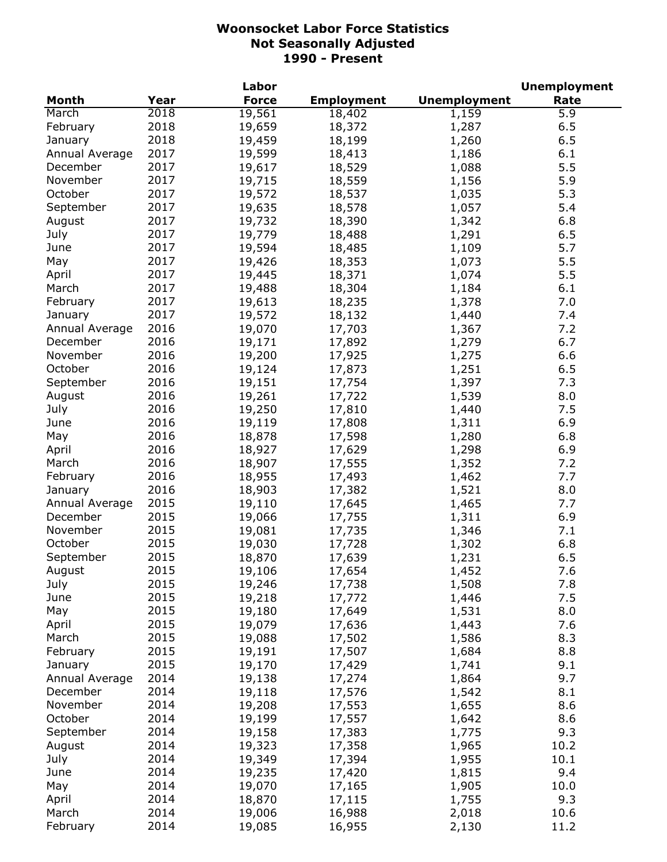|                |      | Labor        |                   |                     | <b>Unemployment</b> |
|----------------|------|--------------|-------------------|---------------------|---------------------|
| <b>Month</b>   | Year | <b>Force</b> | <b>Employment</b> | <b>Unemployment</b> | Rate                |
| March          | 2018 | 19,561       | 18,402            | 1,159               | 5.9                 |
| February       | 2018 | 19,659       | 18,372            | 1,287               | 6.5                 |
| January        | 2018 | 19,459       | 18,199            | 1,260               | 6.5                 |
| Annual Average | 2017 | 19,599       | 18,413            | 1,186               | 6.1                 |
| December       | 2017 | 19,617       | 18,529            | 1,088               | 5.5                 |
| November       | 2017 | 19,715       | 18,559            | 1,156               | 5.9                 |
| October        | 2017 | 19,572       | 18,537            | 1,035               | 5.3                 |
| September      | 2017 | 19,635       | 18,578            | 1,057               | 5.4                 |
| August         | 2017 | 19,732       | 18,390            | 1,342               | 6.8                 |
| July           | 2017 | 19,779       | 18,488            | 1,291               | 6.5                 |
| June           | 2017 | 19,594       | 18,485            | 1,109               | 5.7                 |
| May            | 2017 | 19,426       | 18,353            | 1,073               | 5.5                 |
| April          | 2017 | 19,445       | 18,371            | 1,074               | 5.5                 |
| March          | 2017 | 19,488       | 18,304            | 1,184               | 6.1                 |
| February       | 2017 | 19,613       | 18,235            | 1,378               | 7.0                 |
| January        | 2017 | 19,572       | 18,132            | 1,440               | 7.4                 |
| Annual Average | 2016 | 19,070       | 17,703            | 1,367               | 7.2                 |
| December       | 2016 | 19,171       | 17,892            | 1,279               | 6.7                 |
| November       | 2016 | 19,200       | 17,925            | 1,275               | 6.6                 |
| October        | 2016 | 19,124       | 17,873            | 1,251               | 6.5                 |
| September      | 2016 | 19,151       | 17,754            | 1,397               | 7.3                 |
| August         | 2016 | 19,261       | 17,722            | 1,539               | 8.0                 |
| July           | 2016 | 19,250       | 17,810            | 1,440               | 7.5                 |
| June           | 2016 | 19,119       | 17,808            | 1,311               | 6.9                 |
| May            | 2016 | 18,878       | 17,598            | 1,280               | 6.8                 |
| April          | 2016 | 18,927       | 17,629            | 1,298               | 6.9                 |
| March          | 2016 | 18,907       | 17,555            | 1,352               | 7.2                 |
| February       | 2016 | 18,955       | 17,493            | 1,462               | 7.7                 |
| January        | 2016 | 18,903       | 17,382            | 1,521               | 8.0                 |
| Annual Average | 2015 | 19,110       | 17,645            | 1,465               | 7.7                 |
| December       | 2015 | 19,066       | 17,755            | 1,311               | 6.9                 |
| November       | 2015 | 19,081       | 17,735            | 1,346               | 7.1                 |
| October        | 2015 | 19,030       | 17,728            | 1,302               | 6.8                 |
| September      | 2015 | 18,870       | 17,639            | 1,231               | 6.5                 |
| August         | 2015 | 19,106       | 17,654            | 1,452               | 7.6                 |
| July           | 2015 | 19,246       | 17,738            | 1,508               | 7.8                 |
| June           | 2015 | 19,218       | 17,772            | 1,446               | 7.5                 |
| May            | 2015 | 19,180       | 17,649            | 1,531               | 8.0                 |
| April          | 2015 | 19,079       | 17,636            | 1,443               | 7.6                 |
| March          | 2015 | 19,088       | 17,502            | 1,586               | 8.3                 |
| February       | 2015 | 19,191       | 17,507            | 1,684               | 8.8                 |
| January        | 2015 | 19,170       | 17,429            | 1,741               | 9.1                 |
| Annual Average | 2014 | 19,138       | 17,274            | 1,864               | 9.7                 |
| December       | 2014 | 19,118       | 17,576            | 1,542               | 8.1                 |
| November       | 2014 | 19,208       | 17,553            | 1,655               | 8.6                 |
| October        | 2014 | 19,199       | 17,557            | 1,642               | 8.6                 |
| September      | 2014 | 19,158       | 17,383            | 1,775               | 9.3                 |
| August         | 2014 | 19,323       | 17,358            | 1,965               | 10.2                |
| July           | 2014 | 19,349       | 17,394            | 1,955               | 10.1                |
| June           | 2014 | 19,235       | 17,420            | 1,815               | 9.4                 |
| May            | 2014 | 19,070       | 17,165            | 1,905               | 10.0                |
| April          | 2014 | 18,870       | 17,115            | 1,755               | 9.3                 |
| March          | 2014 | 19,006       | 16,988            | 2,018               | 10.6                |
| February       | 2014 | 19,085       | 16,955            | 2,130               | 11.2                |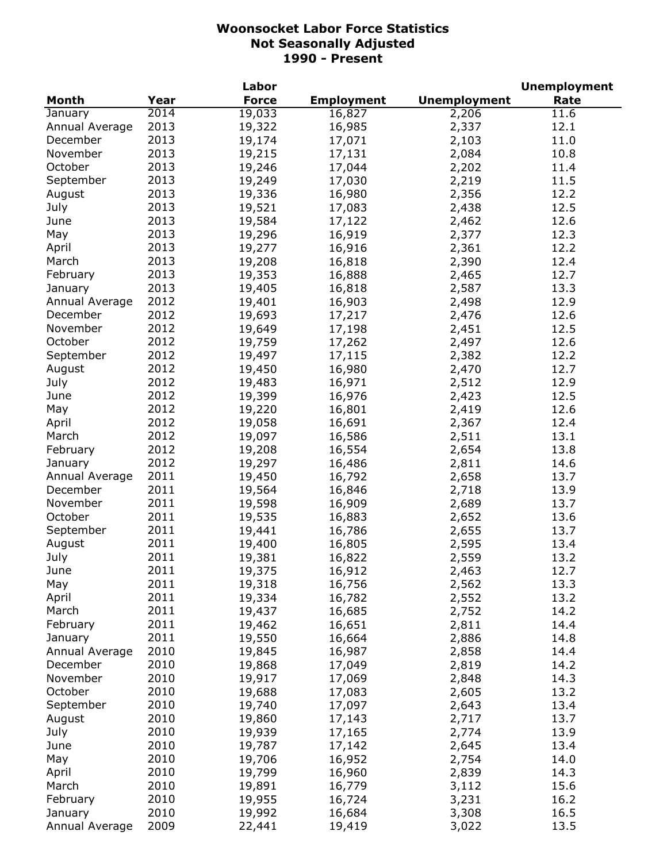|                |      | Labor        |                   |                     | <b>Unemployment</b> |
|----------------|------|--------------|-------------------|---------------------|---------------------|
| <b>Month</b>   | Year | <b>Force</b> | <b>Employment</b> | <b>Unemployment</b> | Rate                |
| January        | 2014 | 19,033       | 16,827            | 2,206               | 11.6                |
| Annual Average | 2013 | 19,322       | 16,985            | 2,337               | 12.1                |
| December       | 2013 | 19,174       | 17,071            | 2,103               | 11.0                |
| November       | 2013 | 19,215       | 17,131            | 2,084               | 10.8                |
| October        | 2013 | 19,246       | 17,044            | 2,202               | 11.4                |
| September      | 2013 | 19,249       | 17,030            | 2,219               | 11.5                |
| August         | 2013 | 19,336       | 16,980            | 2,356               | 12.2                |
| July           | 2013 | 19,521       | 17,083            | 2,438               | 12.5                |
| June           | 2013 | 19,584       | 17,122            | 2,462               | 12.6                |
| May            | 2013 | 19,296       | 16,919            | 2,377               | 12.3                |
| April          | 2013 | 19,277       | 16,916            | 2,361               | 12.2                |
| March          | 2013 | 19,208       | 16,818            | 2,390               | 12.4                |
| February       | 2013 | 19,353       | 16,888            | 2,465               | 12.7                |
| January        | 2013 | 19,405       | 16,818            | 2,587               | 13.3                |
| Annual Average | 2012 | 19,401       | 16,903            | 2,498               | 12.9                |
| December       | 2012 | 19,693       | 17,217            | 2,476               | 12.6                |
| November       | 2012 | 19,649       | 17,198            | 2,451               | 12.5                |
| October        | 2012 |              |                   |                     | 12.6                |
|                | 2012 | 19,759       | 17,262            | 2,497               |                     |
| September      |      | 19,497       | 17,115            | 2,382               | 12.2                |
| August         | 2012 | 19,450       | 16,980            | 2,470               | 12.7                |
| July           | 2012 | 19,483       | 16,971            | 2,512               | 12.9                |
| June           | 2012 | 19,399       | 16,976            | 2,423               | 12.5                |
| May            | 2012 | 19,220       | 16,801            | 2,419               | 12.6                |
| April          | 2012 | 19,058       | 16,691            | 2,367               | 12.4                |
| March          | 2012 | 19,097       | 16,586            | 2,511               | 13.1                |
| February       | 2012 | 19,208       | 16,554            | 2,654               | 13.8                |
| January        | 2012 | 19,297       | 16,486            | 2,811               | 14.6                |
| Annual Average | 2011 | 19,450       | 16,792            | 2,658               | 13.7                |
| December       | 2011 | 19,564       | 16,846            | 2,718               | 13.9                |
| November       | 2011 | 19,598       | 16,909            | 2,689               | 13.7                |
| October        | 2011 | 19,535       | 16,883            | 2,652               | 13.6                |
| September      | 2011 | 19,441       | 16,786            | 2,655               | 13.7                |
| August         | 2011 | 19,400       | 16,805            | 2,595               | 13.4                |
| July           | 2011 | 19,381       | 16,822            | 2,559               | 13.2                |
| June           | 2011 | 19,375       | 16,912            | 2,463               | 12.7                |
| May            | 2011 | 19,318       | 16,756            | 2,562               | 13.3                |
| April          | 2011 | 19,334       | 16,782            | 2,552               | 13.2                |
| March          | 2011 | 19,437       | 16,685            | 2,752               | 14.2                |
| February       | 2011 | 19,462       | 16,651            | 2,811               | 14.4                |
| January        | 2011 | 19,550       | 16,664            | 2,886               | 14.8                |
| Annual Average | 2010 | 19,845       | 16,987            | 2,858               | 14.4                |
| December       | 2010 | 19,868       | 17,049            | 2,819               | 14.2                |
| November       | 2010 | 19,917       | 17,069            | 2,848               | 14.3                |
| October        | 2010 | 19,688       | 17,083            | 2,605               | 13.2                |
| September      | 2010 | 19,740       | 17,097            | 2,643               | 13.4                |
| August         | 2010 | 19,860       | 17,143            | 2,717               | 13.7                |
| July           | 2010 | 19,939       | 17,165            | 2,774               | 13.9                |
| June           | 2010 | 19,787       | 17,142            | 2,645               | 13.4                |
| May            | 2010 | 19,706       | 16,952            | 2,754               | 14.0                |
| April          | 2010 | 19,799       | 16,960            | 2,839               | 14.3                |
| March          | 2010 | 19,891       | 16,779            | 3,112               | 15.6                |
| February       | 2010 | 19,955       | 16,724            | 3,231               | 16.2                |
| January        | 2010 | 19,992       | 16,684            | 3,308               | 16.5                |
| Annual Average | 2009 | 22,441       | 19,419            | 3,022               | 13.5                |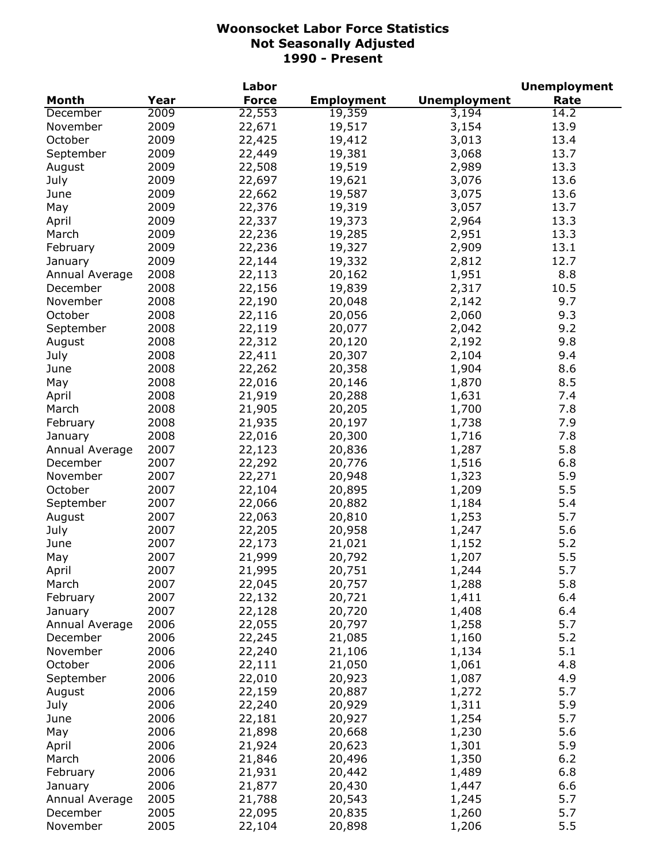|                |      | Labor        |                   |                     | <b>Unemployment</b> |
|----------------|------|--------------|-------------------|---------------------|---------------------|
| <b>Month</b>   | Year | <b>Force</b> | <b>Employment</b> | <b>Unemployment</b> | Rate                |
| December       | 2009 | 22,553       | 19,359            | 3,194               | 14.2                |
| November       | 2009 | 22,671       | 19,517            | 3,154               | 13.9                |
| October        | 2009 | 22,425       | 19,412            | 3,013               | 13.4                |
| September      | 2009 | 22,449       | 19,381            | 3,068               | 13.7                |
| August         | 2009 | 22,508       | 19,519            | 2,989               | 13.3                |
| July           | 2009 | 22,697       | 19,621            | 3,076               | 13.6                |
| June           | 2009 | 22,662       | 19,587            | 3,075               | 13.6                |
| May            | 2009 | 22,376       | 19,319            | 3,057               | 13.7                |
| April          | 2009 | 22,337       | 19,373            | 2,964               | 13.3                |
| March          | 2009 | 22,236       | 19,285            | 2,951               | 13.3                |
| February       | 2009 | 22,236       | 19,327            | 2,909               | 13.1                |
| January        | 2009 | 22,144       | 19,332            | 2,812               | 12.7                |
| Annual Average | 2008 | 22,113       | 20,162            | 1,951               | 8.8                 |
| December       | 2008 | 22,156       | 19,839            | 2,317               | 10.5                |
| November       | 2008 | 22,190       | 20,048            | 2,142               | 9.7                 |
| October        | 2008 | 22,116       | 20,056            | 2,060               | 9.3                 |
| September      | 2008 |              |                   |                     | 9.2                 |
|                |      | 22,119       | 20,077            | 2,042               |                     |
| August         | 2008 | 22,312       | 20,120            | 2,192               | 9.8                 |
| July           | 2008 | 22,411       | 20,307            | 2,104               | 9.4                 |
| June           | 2008 | 22,262       | 20,358            | 1,904               | 8.6                 |
| May            | 2008 | 22,016       | 20,146            | 1,870               | 8.5                 |
| April          | 2008 | 21,919       | 20,288            | 1,631               | 7.4                 |
| March          | 2008 | 21,905       | 20,205            | 1,700               | 7.8                 |
| February       | 2008 | 21,935       | 20,197            | 1,738               | 7.9                 |
| January        | 2008 | 22,016       | 20,300            | 1,716               | 7.8                 |
| Annual Average | 2007 | 22,123       | 20,836            | 1,287               | 5.8                 |
| December       | 2007 | 22,292       | 20,776            | 1,516               | 6.8                 |
| November       | 2007 | 22,271       | 20,948            | 1,323               | 5.9                 |
| October        | 2007 | 22,104       | 20,895            | 1,209               | 5.5                 |
| September      | 2007 | 22,066       | 20,882            | 1,184               | 5.4                 |
| August         | 2007 | 22,063       | 20,810            | 1,253               | 5.7                 |
| July           | 2007 | 22,205       | 20,958            | 1,247               | 5.6                 |
| June           | 2007 | 22,173       | 21,021            | 1,152               | 5.2                 |
| May            | 2007 | 21,999       | 20,792            | 1,207               | 5.5                 |
| April          | 2007 | 21,995       | 20,751            | 1,244               | 5.7                 |
| March          | 2007 | 22,045       | 20,757            | 1,288               | 5.8                 |
| February       | 2007 | 22,132       | 20,721            | 1,411               | 6.4                 |
| January        | 2007 | 22,128       | 20,720            | 1,408               | 6.4                 |
| Annual Average | 2006 | 22,055       | 20,797            | 1,258               | 5.7                 |
| December       | 2006 | 22,245       | 21,085            | 1,160               | 5.2                 |
| November       | 2006 | 22,240       | 21,106            | 1,134               | 5.1                 |
| October        | 2006 | 22,111       | 21,050            | 1,061               | 4.8                 |
| September      | 2006 | 22,010       | 20,923            | 1,087               | 4.9                 |
| August         | 2006 | 22,159       | 20,887            | 1,272               | 5.7                 |
| July           | 2006 | 22,240       | 20,929            | 1,311               | 5.9                 |
| June           | 2006 | 22,181       | 20,927            | 1,254               | 5.7                 |
| May            | 2006 | 21,898       | 20,668            | 1,230               | 5.6                 |
| April          | 2006 | 21,924       | 20,623            | 1,301               | 5.9                 |
| March          | 2006 | 21,846       | 20,496            | 1,350               | 6.2                 |
| February       | 2006 | 21,931       | 20,442            | 1,489               | 6.8                 |
| January        | 2006 | 21,877       | 20,430            | 1,447               | 6.6                 |
|                | 2005 | 21,788       |                   |                     | 5.7                 |
| Annual Average | 2005 |              | 20,543            | 1,245               | 5.7                 |
| December       |      | 22,095       | 20,835            | 1,260               |                     |
| November       | 2005 | 22,104       | 20,898            | 1,206               | 5.5                 |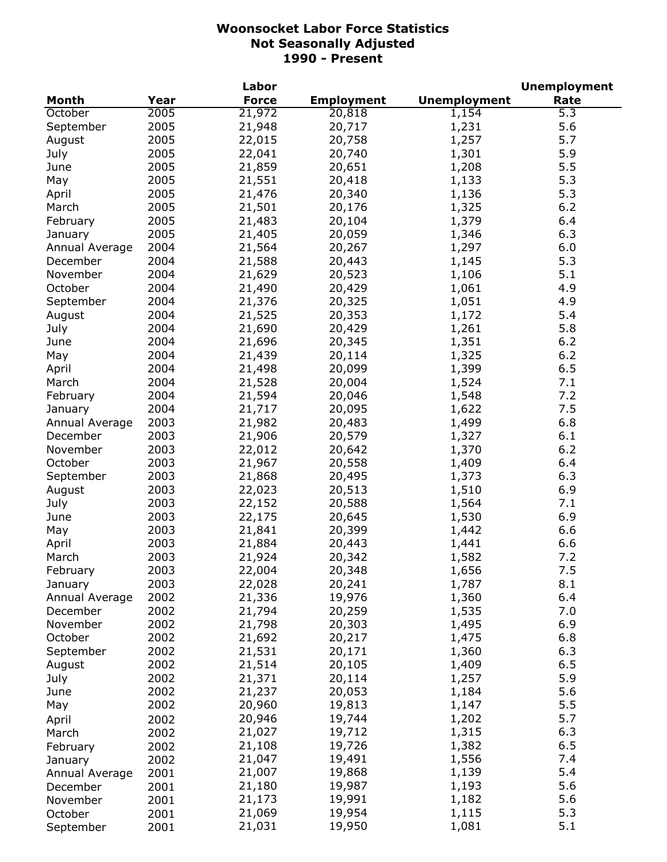|                |      | Labor        |                   |                     | <b>Unemployment</b> |
|----------------|------|--------------|-------------------|---------------------|---------------------|
| <b>Month</b>   | Year | <b>Force</b> | <b>Employment</b> | <b>Unemployment</b> | Rate                |
| October        | 2005 | 21,972       | 20,818            | 1,154               | 5.3                 |
| September      | 2005 | 21,948       | 20,717            | 1,231               | 5.6                 |
| August         | 2005 | 22,015       | 20,758            | 1,257               | 5.7                 |
| July           | 2005 | 22,041       | 20,740            | 1,301               | 5.9                 |
| June           | 2005 | 21,859       | 20,651            | 1,208               | 5.5                 |
| May            | 2005 | 21,551       | 20,418            | 1,133               | 5.3                 |
| April          | 2005 | 21,476       | 20,340            | 1,136               | 5.3                 |
| March          | 2005 | 21,501       | 20,176            | 1,325               | 6.2                 |
| February       | 2005 | 21,483       | 20,104            | 1,379               | 6.4                 |
| January        | 2005 | 21,405       | 20,059            | 1,346               | 6.3                 |
| Annual Average | 2004 | 21,564       | 20,267            | 1,297               | 6.0                 |
| December       | 2004 | 21,588       | 20,443            | 1,145               | 5.3                 |
| November       | 2004 | 21,629       | 20,523            | 1,106               | 5.1                 |
| October        | 2004 | 21,490       | 20,429            | 1,061               | 4.9                 |
| September      | 2004 | 21,376       | 20,325            | 1,051               | 4.9                 |
| August         | 2004 | 21,525       | 20,353            | 1,172               | 5.4                 |
| July           | 2004 | 21,690       | 20,429            | 1,261               | 5.8                 |
| June           | 2004 | 21,696       | 20,345            | 1,351               | 6.2                 |
|                | 2004 | 21,439       | 20,114            |                     | 6.2                 |
| May            |      |              |                   | 1,325               |                     |
| April          | 2004 | 21,498       | 20,099            | 1,399               | 6.5                 |
| March          | 2004 | 21,528       | 20,004            | 1,524               | 7.1                 |
| February       | 2004 | 21,594       | 20,046            | 1,548               | 7.2                 |
| January        | 2004 | 21,717       | 20,095            | 1,622               | 7.5                 |
| Annual Average | 2003 | 21,982       | 20,483            | 1,499               | 6.8                 |
| December       | 2003 | 21,906       | 20,579            | 1,327               | 6.1                 |
| November       | 2003 | 22,012       | 20,642            | 1,370               | 6.2                 |
| October        | 2003 | 21,967       | 20,558            | 1,409               | 6.4                 |
| September      | 2003 | 21,868       | 20,495            | 1,373               | 6.3                 |
| August         | 2003 | 22,023       | 20,513            | 1,510               | 6.9                 |
| July           | 2003 | 22,152       | 20,588            | 1,564               | 7.1                 |
| June           | 2003 | 22,175       | 20,645            | 1,530               | 6.9                 |
| May            | 2003 | 21,841       | 20,399            | 1,442               | 6.6                 |
| April          | 2003 | 21,884       | 20,443            | 1,441               | 6.6                 |
| March          | 2003 | 21,924       | 20,342            | 1,582               | 7.2                 |
| February       | 2003 | 22,004       | 20,348            | 1,656               | 7.5                 |
| January        | 2003 | 22,028       | 20,241            | 1,787               | 8.1                 |
| Annual Average | 2002 | 21,336       | 19,976            | 1,360               | 6.4                 |
| December       | 2002 | 21,794       | 20,259            | 1,535               | 7.0                 |
| November       | 2002 | 21,798       | 20,303            | 1,495               | 6.9                 |
| October        | 2002 | 21,692       | 20,217            | 1,475               | 6.8                 |
| September      | 2002 | 21,531       | 20,171            | 1,360               | 6.3                 |
| August         | 2002 | 21,514       | 20,105            | 1,409               | 6.5                 |
| July           | 2002 | 21,371       | 20,114            | 1,257               | 5.9                 |
| June           | 2002 | 21,237       | 20,053            | 1,184               | 5.6                 |
| May            | 2002 | 20,960       | 19,813            | 1,147               | 5.5                 |
| April          | 2002 | 20,946       | 19,744            | 1,202               | 5.7                 |
| March          | 2002 | 21,027       | 19,712            | 1,315               | 6.3                 |
| February       | 2002 | 21,108       | 19,726            | 1,382               | 6.5                 |
| January        | 2002 | 21,047       | 19,491            | 1,556               | 7.4                 |
| Annual Average | 2001 | 21,007       | 19,868            | 1,139               | 5.4                 |
| December       | 2001 | 21,180       | 19,987            | 1,193               | 5.6                 |
| November       | 2001 | 21,173       | 19,991            | 1,182               | 5.6                 |
| October        | 2001 | 21,069       | 19,954            | 1,115               | 5.3                 |
| September      | 2001 | 21,031       | 19,950            | 1,081               | 5.1                 |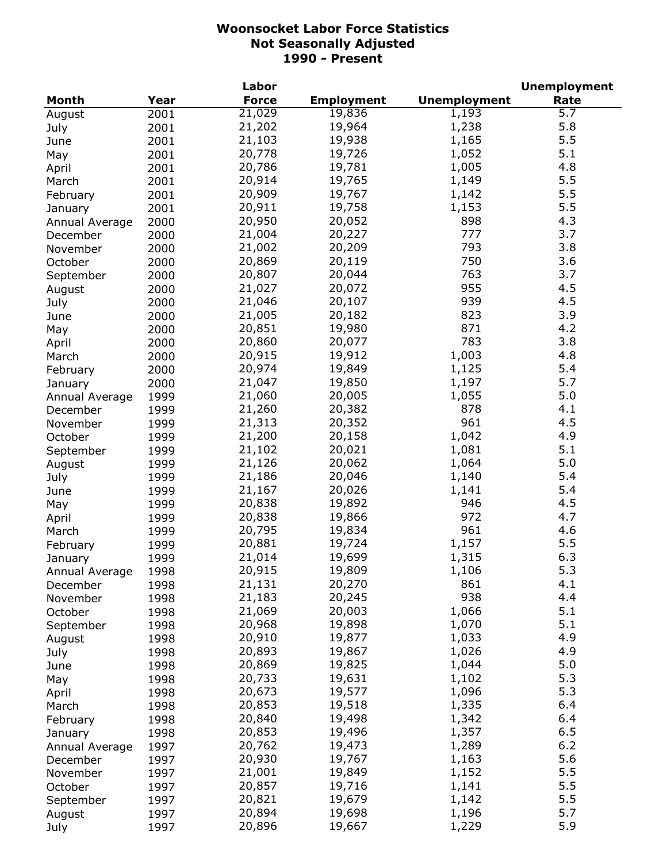|                |      | Labor        |                   |                     | <b>Unemployment</b> |
|----------------|------|--------------|-------------------|---------------------|---------------------|
| Month          | Year | <b>Force</b> | <b>Employment</b> | <b>Unemployment</b> | Rate                |
| August         | 2001 | 21,029       | 19,836            | 1,193               | $\overline{5.7}$    |
| July           | 2001 | 21,202       | 19,964            | 1,238               | 5.8                 |
| June           | 2001 | 21,103       | 19,938            | 1,165               | 5.5                 |
| May            | 2001 | 20,778       | 19,726            | 1,052               | 5.1                 |
| April          | 2001 | 20,786       | 19,781            | 1,005               | 4.8                 |
| March          | 2001 | 20,914       | 19,765            | 1,149               | 5.5                 |
| February       | 2001 | 20,909       | 19,767            | 1,142               | 5.5                 |
| January        | 2001 | 20,911       | 19,758            | 1,153               | 5.5                 |
| Annual Average | 2000 | 20,950       | 20,052            | 898                 | 4.3                 |
| December       | 2000 | 21,004       | 20,227            | 777                 | 3.7                 |
|                | 2000 | 21,002       | 20,209            | 793                 | 3.8                 |
| November       |      | 20,869       | 20,119            | 750                 | 3.6                 |
| October        | 2000 | 20,807       | 20,044            | 763                 | 3.7                 |
| September      | 2000 |              |                   |                     |                     |
| August         | 2000 | 21,027       | 20,072            | 955                 | 4.5                 |
| July           | 2000 | 21,046       | 20,107            | 939                 | 4.5                 |
| June           | 2000 | 21,005       | 20,182            | 823                 | 3.9                 |
| May            | 2000 | 20,851       | 19,980            | 871                 | 4.2                 |
| April          | 2000 | 20,860       | 20,077            | 783                 | 3.8                 |
| March          | 2000 | 20,915       | 19,912            | 1,003               | 4.8                 |
| February       | 2000 | 20,974       | 19,849            | 1,125               | 5.4                 |
| January        | 2000 | 21,047       | 19,850            | 1,197               | 5.7                 |
| Annual Average | 1999 | 21,060       | 20,005            | 1,055               | 5.0                 |
| December       | 1999 | 21,260       | 20,382            | 878                 | 4.1                 |
| November       | 1999 | 21,313       | 20,352            | 961                 | 4.5                 |
| October        | 1999 | 21,200       | 20,158            | 1,042               | 4.9                 |
| September      | 1999 | 21,102       | 20,021            | 1,081               | 5.1                 |
| August         | 1999 | 21,126       | 20,062            | 1,064               | 5.0                 |
| July           | 1999 | 21,186       | 20,046            | 1,140               | 5.4                 |
| June           | 1999 | 21,167       | 20,026            | 1,141               | 5.4                 |
| May            | 1999 | 20,838       | 19,892            | 946                 | 4.5                 |
| April          | 1999 | 20,838       | 19,866            | 972                 | 4.7                 |
| March          | 1999 | 20,795       | 19,834            | 961                 | 4.6                 |
| February       | 1999 | 20,881       | 19,724            | 1,157               | 5.5                 |
| January        | 1999 | 21,014       | 19,699            | 1,315               | 6.3                 |
| Annual Average | 1998 | 20,915       | 19,809            | 1,106               | 5.3                 |
| December       | 1998 | 21,131       | 20,270            | 861                 | 4.1                 |
| November       | 1998 | 21,183       | 20,245            | 938                 | 4.4                 |
| October        | 1998 | 21,069       | 20,003            | 1,066               | 5.1                 |
|                | 1998 | 20,968       | 19,898            | 1,070               | 5.1                 |
| September      | 1998 | 20,910       | 19,877            | 1,033               | 4.9                 |
| August         |      | 20,893       | 19,867            | 1,026               | 4.9                 |
| July           | 1998 | 20,869       | 19,825            | 1,044               | 5.0                 |
| June           | 1998 |              |                   |                     |                     |
| May            | 1998 | 20,733       | 19,631            | 1,102               | 5.3                 |
| April          | 1998 | 20,673       | 19,577            | 1,096               | 5.3                 |
| March          | 1998 | 20,853       | 19,518            | 1,335               | 6.4                 |
| February       | 1998 | 20,840       | 19,498            | 1,342               | 6.4                 |
| January        | 1998 | 20,853       | 19,496            | 1,357               | 6.5                 |
| Annual Average | 1997 | 20,762       | 19,473            | 1,289               | 6.2                 |
| December       | 1997 | 20,930       | 19,767            | 1,163               | 5.6                 |
| November       | 1997 | 21,001       | 19,849            | 1,152               | 5.5                 |
| October        | 1997 | 20,857       | 19,716            | 1,141               | 5.5                 |
| September      | 1997 | 20,821       | 19,679            | 1,142               | 5.5                 |
| August         | 1997 | 20,894       | 19,698            | 1,196               | 5.7                 |
| July           | 1997 | 20,896       | 19,667            | 1,229               | 5.9                 |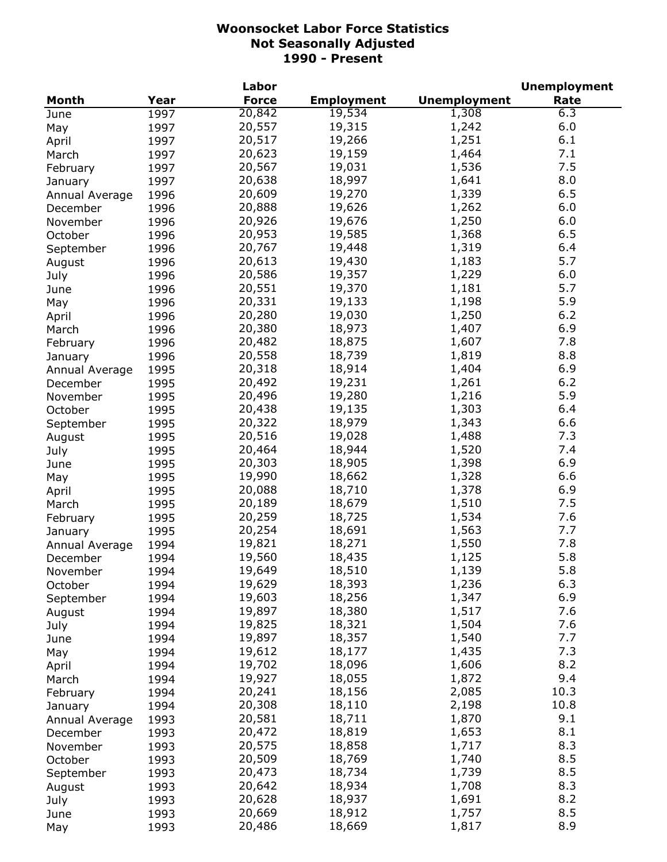|                |      | Labor        |                   |                     | <b>Unemployment</b> |
|----------------|------|--------------|-------------------|---------------------|---------------------|
| <b>Month</b>   | Year | <b>Force</b> | <b>Employment</b> | <b>Unemployment</b> | Rate                |
| June           | 1997 | 20,842       | 19,534            | 1,308               | 6.3                 |
| May            | 1997 | 20,557       | 19,315            | 1,242               | 6.0                 |
| April          | 1997 | 20,517       | 19,266            | 1,251               | 6.1                 |
| March          | 1997 | 20,623       | 19,159            | 1,464               | 7.1                 |
| February       | 1997 | 20,567       | 19,031            | 1,536               | 7.5                 |
| January        | 1997 | 20,638       | 18,997            | 1,641               | 8.0                 |
| Annual Average | 1996 | 20,609       | 19,270            | 1,339               | 6.5                 |
| December       | 1996 | 20,888       | 19,626            | 1,262               | 6.0                 |
| November       | 1996 | 20,926       | 19,676            | 1,250               | 6.0                 |
| October        | 1996 | 20,953       | 19,585            | 1,368               | 6.5                 |
| September      | 1996 | 20,767       | 19,448            | 1,319               | 6.4                 |
| August         | 1996 | 20,613       | 19,430            | 1,183               | 5.7                 |
| July           | 1996 | 20,586       | 19,357            | 1,229               | 6.0                 |
|                | 1996 | 20,551       | 19,370            | 1,181               | 5.7                 |
| June           |      | 20,331       | 19,133            | 1,198               | 5.9                 |
| May            | 1996 | 20,280       | 19,030            | 1,250               | 6.2                 |
| April          | 1996 |              | 18,973            |                     | 6.9                 |
| March          | 1996 | 20,380       |                   | 1,407               |                     |
| February       | 1996 | 20,482       | 18,875            | 1,607               | 7.8                 |
| January        | 1996 | 20,558       | 18,739            | 1,819               | 8.8                 |
| Annual Average | 1995 | 20,318       | 18,914            | 1,404               | 6.9                 |
| December       | 1995 | 20,492       | 19,231            | 1,261               | 6.2                 |
| November       | 1995 | 20,496       | 19,280            | 1,216               | 5.9                 |
| October        | 1995 | 20,438       | 19,135            | 1,303               | 6.4                 |
| September      | 1995 | 20,322       | 18,979            | 1,343               | 6.6                 |
| August         | 1995 | 20,516       | 19,028            | 1,488               | 7.3                 |
| July           | 1995 | 20,464       | 18,944            | 1,520               | 7.4                 |
| June           | 1995 | 20,303       | 18,905            | 1,398               | 6.9                 |
| May            | 1995 | 19,990       | 18,662            | 1,328               | 6.6                 |
| April          | 1995 | 20,088       | 18,710            | 1,378               | 6.9                 |
| March          | 1995 | 20,189       | 18,679            | 1,510               | 7.5                 |
| February       | 1995 | 20,259       | 18,725            | 1,534               | 7.6                 |
| January        | 1995 | 20,254       | 18,691            | 1,563               | 7.7                 |
| Annual Average | 1994 | 19,821       | 18,271            | 1,550               | 7.8                 |
| December       | 1994 | 19,560       | 18,435            | 1,125               | 5.8                 |
| November       | 1994 | 19,649       | 18,510            | 1,139               | 5.8                 |
| October        | 1994 | 19,629       | 18,393            | 1,236               | 6.3                 |
| September      | 1994 | 19,603       | 18,256            | 1,347               | 6.9                 |
| August         | 1994 | 19,897       | 18,380            | 1,517               | 7.6                 |
| July           | 1994 | 19,825       | 18,321            | 1,504               | 7.6                 |
| June           | 1994 | 19,897       | 18,357            | 1,540               | 7.7                 |
| May            | 1994 | 19,612       | 18,177            | 1,435               | 7.3                 |
| April          | 1994 | 19,702       | 18,096            | 1,606               | 8.2                 |
| March          | 1994 | 19,927       | 18,055            | 1,872               | 9.4                 |
| February       | 1994 | 20,241       | 18,156            | 2,085               | 10.3                |
| January        | 1994 | 20,308       | 18,110            | 2,198               | 10.8                |
| Annual Average | 1993 | 20,581       | 18,711            | 1,870               | 9.1                 |
| December       | 1993 | 20,472       | 18,819            | 1,653               | 8.1                 |
| November       | 1993 | 20,575       | 18,858            | 1,717               | 8.3                 |
| October        | 1993 | 20,509       | 18,769            | 1,740               | 8.5                 |
|                | 1993 | 20,473       | 18,734            | 1,739               | 8.5                 |
| September      |      | 20,642       | 18,934            | 1,708               | 8.3                 |
| August         | 1993 | 20,628       | 18,937            | 1,691               | 8.2                 |
| July           | 1993 | 20,669       |                   | 1,757               | 8.5                 |
| June           | 1993 |              | 18,912            |                     | 8.9                 |
| May            | 1993 | 20,486       | 18,669            | 1,817               |                     |